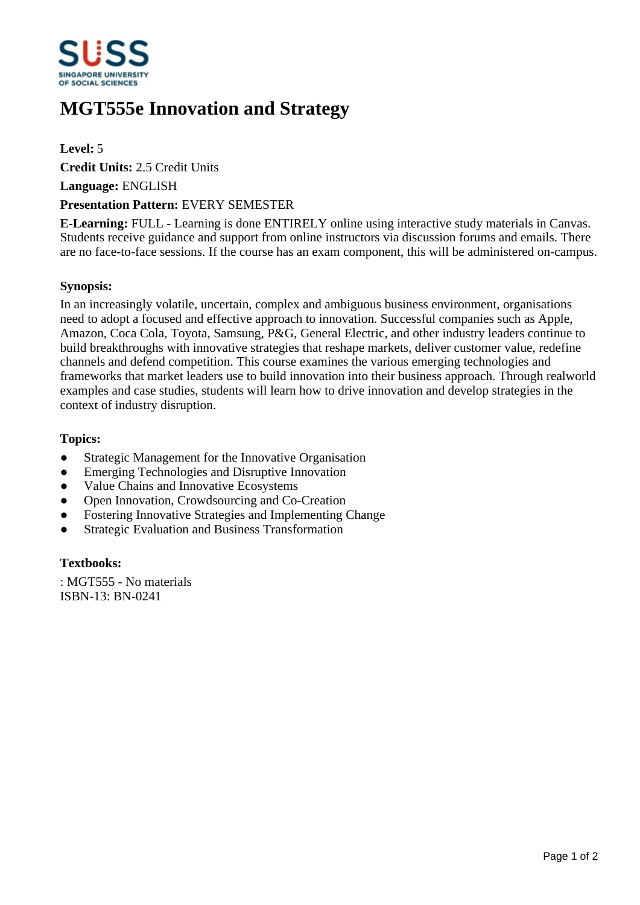

# **MGT555e Innovation and Strategy**

# **Level:** 5

**Credit Units:** 2.5 Credit Units

**Language:** ENGLISH

#### **Presentation Pattern:** EVERY SEMESTER

**E-Learning:** FULL - Learning is done ENTIRELY online using interactive study materials in Canvas. Students receive guidance and support from online instructors via discussion forums and emails. There are no face-to-face sessions. If the course has an exam component, this will be administered on-campus.

# **Synopsis:**

In an increasingly volatile, uncertain, complex and ambiguous business environment, organisations need to adopt a focused and effective approach to innovation. Successful companies such as Apple, Amazon, Coca Cola, Toyota, Samsung, P&G, General Electric, and other industry leaders continue to build breakthroughs with innovative strategies that reshape markets, deliver customer value, redefine channels and defend competition. This course examines the various emerging technologies and frameworks that market leaders use to build innovation into their business approach. Through realworld examples and case studies, students will learn how to drive innovation and develop strategies in the context of industry disruption.

#### **Topics:**

- Strategic Management for the Innovative Organisation
- Emerging Technologies and Disruptive Innovation
- Value Chains and Innovative Ecosystems
- Open Innovation, Crowdsourcing and Co-Creation
- Fostering Innovative Strategies and Implementing Change
- Strategic Evaluation and Business Transformation

# **Textbooks:**

: MGT555 - No materials ISBN-13: BN-0241